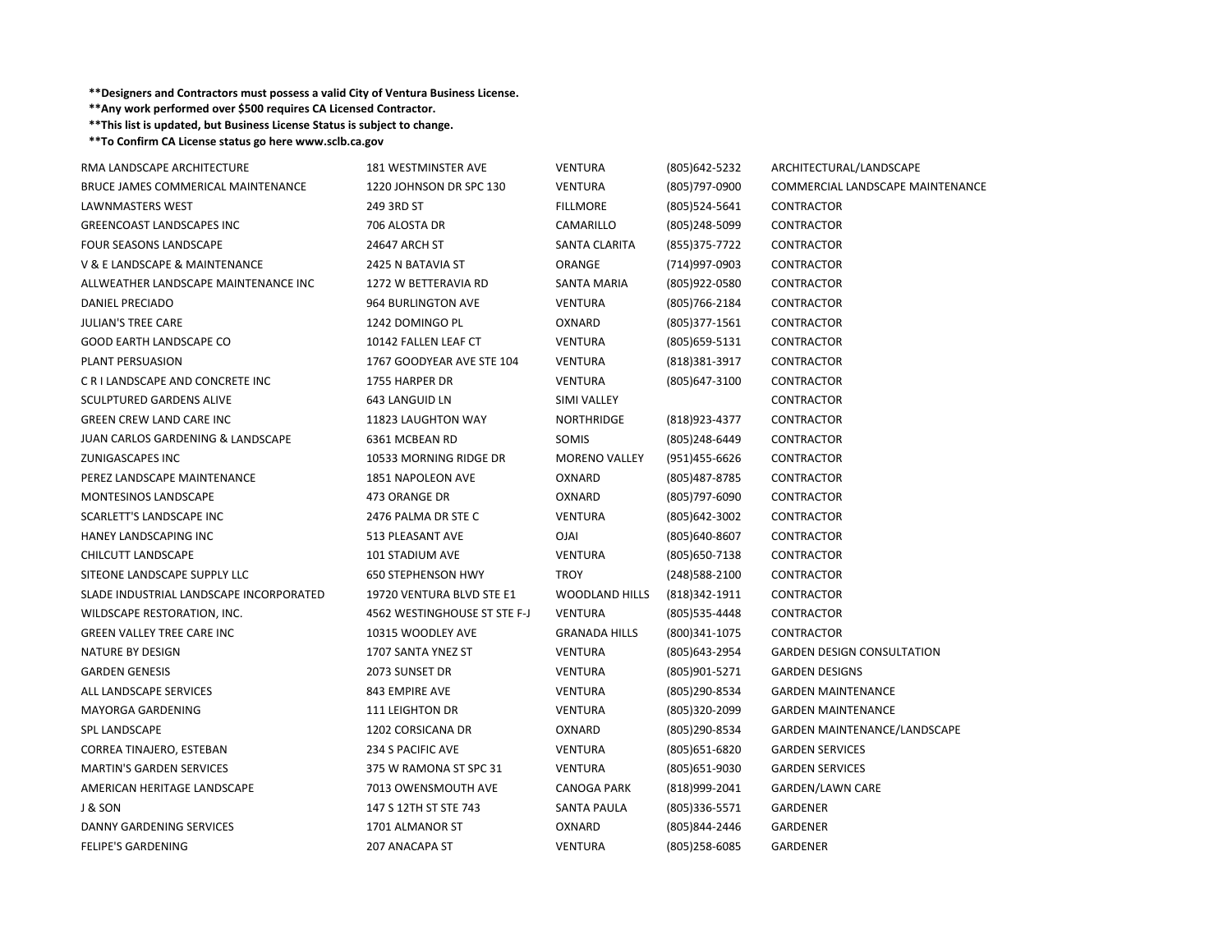## **\*\*Designers and Contractors must possess <sup>a</sup> valid City of Ventura Business License.**

**\*\*Any work performed over \$500 requires CA Licensed Contractor.**

**\*\*This list is updated, but Business License Status is subject to change.**

**\*\*To Confirm CA License status go here www.sclb.ca.gov**

| RMA LANDSCAPE ARCHITECTURE              | <b>181 WESTMINSTER AVE</b>   | <b>VENTURA</b>        | (805) 642-5232 | ARCHITECTURAL/LANDSCAPE           |
|-----------------------------------------|------------------------------|-----------------------|----------------|-----------------------------------|
| BRUCE JAMES COMMERICAL MAINTENANCE      | 1220 JOHNSON DR SPC 130      | <b>VENTURA</b>        | (805) 797-0900 | COMMERCIAL LANDSCAPE MAINTENANCE  |
| LAWNMASTERS WEST                        | 249 3RD ST                   | <b>FILLMORE</b>       | (805)524-5641  | CONTRACTOR                        |
| <b>GREENCOAST LANDSCAPES INC</b>        | 706 ALOSTA DR                | CAMARILLO             | (805)248-5099  | <b>CONTRACTOR</b>                 |
| FOUR SEASONS LANDSCAPE                  | 24647 ARCH ST                | SANTA CLARITA         | (855) 375-7722 | CONTRACTOR                        |
| V & E LANDSCAPE & MAINTENANCE           | 2425 N BATAVIA ST            | ORANGE                | (714)997-0903  | CONTRACTOR                        |
| ALLWEATHER LANDSCAPE MAINTENANCE INC    | 1272 W BETTERAVIA RD         | <b>SANTA MARIA</b>    | (805) 922-0580 | CONTRACTOR                        |
| DANIEL PRECIADO                         | 964 BURLINGTON AVE           | <b>VENTURA</b>        | (805)766-2184  | CONTRACTOR                        |
| <b>JULIAN'S TREE CARE</b>               | 1242 DOMINGO PL              | OXNARD                | (805) 377-1561 | CONTRACTOR                        |
| <b>GOOD EARTH LANDSCAPE CO</b>          | 10142 FALLEN LEAF CT         | <b>VENTURA</b>        | (805) 659-5131 | CONTRACTOR                        |
| <b>PLANT PERSUASION</b>                 | 1767 GOODYEAR AVE STE 104    | <b>VENTURA</b>        | (818)381-3917  | CONTRACTOR                        |
| C R I LANDSCAPE AND CONCRETE INC        | 1755 HARPER DR               | <b>VENTURA</b>        | (805) 647-3100 | CONTRACTOR                        |
| <b>SCULPTURED GARDENS ALIVE</b>         | 643 LANGUID LN               | SIMI VALLEY           |                | <b>CONTRACTOR</b>                 |
| <b>GREEN CREW LAND CARE INC</b>         | 11823 LAUGHTON WAY           | <b>NORTHRIDGE</b>     | (818) 923-4377 | CONTRACTOR                        |
| JUAN CARLOS GARDENING & LANDSCAPE       | 6361 MCBEAN RD               | SOMIS                 | (805)248-6449  | CONTRACTOR                        |
| ZUNIGASCAPES INC                        | 10533 MORNING RIDGE DR       | <b>MORENO VALLEY</b>  | (951)455-6626  | CONTRACTOR                        |
| PEREZ LANDSCAPE MAINTENANCE             | 1851 NAPOLEON AVE            | OXNARD                | (805)487-8785  | CONTRACTOR                        |
| MONTESINOS LANDSCAPE                    | 473 ORANGE DR                | OXNARD                | (805) 797-6090 | CONTRACTOR                        |
| SCARLETT'S LANDSCAPE INC                | 2476 PALMA DR STE C          | <b>VENTURA</b>        | (805) 642-3002 | CONTRACTOR                        |
| HANEY LANDSCAPING INC                   | 513 PLEASANT AVE             | <b>OJAI</b>           | (805) 640-8607 | CONTRACTOR                        |
| CHILCUTT LANDSCAPE                      | 101 STADIUM AVE              | <b>VENTURA</b>        | (805) 650-7138 | CONTRACTOR                        |
| SITEONE LANDSCAPE SUPPLY LLC            | <b>650 STEPHENSON HWY</b>    | <b>TROY</b>           | (248) 588-2100 | CONTRACTOR                        |
| SLADE INDUSTRIAL LANDSCAPE INCORPORATED | 19720 VENTURA BLVD STE E1    | <b>WOODLAND HILLS</b> | (818)342-1911  | CONTRACTOR                        |
| WILDSCAPE RESTORATION, INC.             | 4562 WESTINGHOUSE ST STE F-J | <b>VENTURA</b>        | (805) 535-4448 | CONTRACTOR                        |
| <b>GREEN VALLEY TREE CARE INC</b>       | 10315 WOODLEY AVE            | <b>GRANADA HILLS</b>  | (800)341-1075  | CONTRACTOR                        |
| NATURE BY DESIGN                        | 1707 SANTA YNEZ ST           | <b>VENTURA</b>        | (805) 643-2954 | <b>GARDEN DESIGN CONSULTATION</b> |
| <b>GARDEN GENESIS</b>                   | 2073 SUNSET DR               | <b>VENTURA</b>        | (805)901-5271  | <b>GARDEN DESIGNS</b>             |
| ALL LANDSCAPE SERVICES                  | 843 EMPIRE AVE               | <b>VENTURA</b>        | (805)290-8534  | <b>GARDEN MAINTENANCE</b>         |
| <b>MAYORGA GARDENING</b>                | 111 LEIGHTON DR              | <b>VENTURA</b>        | (805)320-2099  | <b>GARDEN MAINTENANCE</b>         |
| <b>SPL LANDSCAPE</b>                    | 1202 CORSICANA DR            | OXNARD                | (805)290-8534  | GARDEN MAINTENANCE/LANDSCAPE      |
| CORREA TINAJERO, ESTEBAN                | 234 S PACIFIC AVE            | <b>VENTURA</b>        | (805) 651-6820 | <b>GARDEN SERVICES</b>            |
| <b>MARTIN'S GARDEN SERVICES</b>         | 375 W RAMONA ST SPC 31       | <b>VENTURA</b>        | (805) 651-9030 | <b>GARDEN SERVICES</b>            |
| AMERICAN HERITAGE LANDSCAPE             | 7013 OWENSMOUTH AVE          | <b>CANOGA PARK</b>    | (818)999-2041  | GARDEN/LAWN CARE                  |
| J & SON                                 | 147 S 12TH ST STE 743        | SANTA PAULA           | (805)336-5571  | GARDENER                          |
| DANNY GARDENING SERVICES                | 1701 ALMANOR ST              | OXNARD                | (805) 844-2446 | GARDENER                          |
| <b>FELIPE'S GARDENING</b>               | 207 ANACAPA ST               | <b>VENTURA</b>        | (805)258-6085  | <b>GARDENER</b>                   |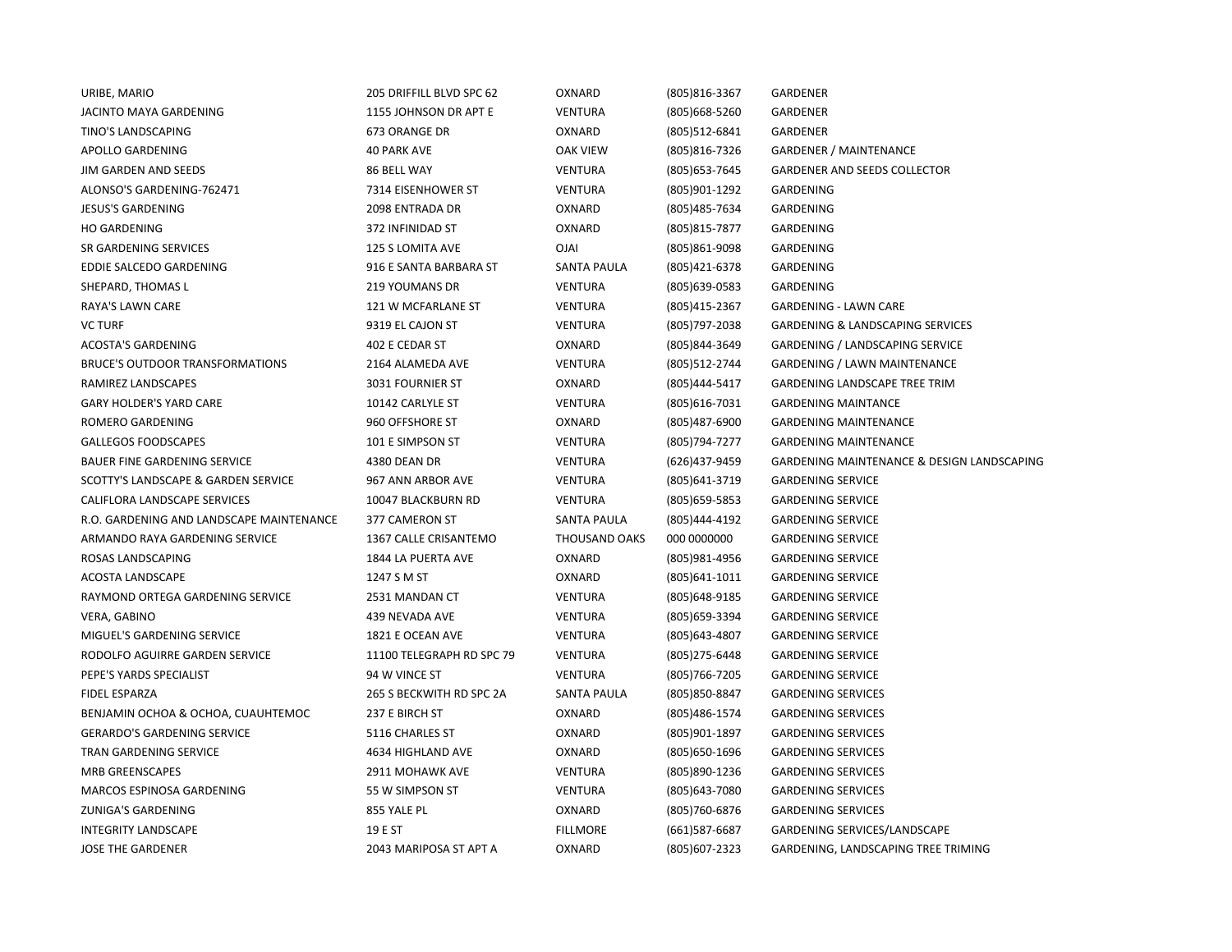| URIBE, MARIO                             | 205 DRIFFILL BLVD SPC 62  | OXNARD          | (805) 816-3367   | GARDENER                                              |
|------------------------------------------|---------------------------|-----------------|------------------|-------------------------------------------------------|
| JACINTO MAYA GARDENING                   | 1155 JOHNSON DR APT E     | VENTURA         | (805) 668-5260   | GARDENER                                              |
| TINO'S LANDSCAPING                       | 673 ORANGE DR             | OXNARD          | (805)512-6841    | GARDENER                                              |
| APOLLO GARDENING                         | <b>40 PARK AVE</b>        | <b>OAK VIEW</b> | (805) 816-7326   | <b>GARDENER / MAINTENANCE</b>                         |
| JIM GARDEN AND SEEDS                     | 86 BELL WAY               | <b>VENTURA</b>  | (805) 653-7645   | <b>GARDENER AND SEEDS COLLECTOR</b>                   |
| ALONSO'S GARDENING-762471                | 7314 EISENHOWER ST        | <b>VENTURA</b>  | (805)901-1292    | GARDENING                                             |
| <b>JESUS'S GARDENING</b>                 | 2098 ENTRADA DR           | OXNARD          | (805) 485 - 7634 | GARDENING                                             |
| <b>HO GARDENING</b>                      | 372 INFINIDAD ST          | OXNARD          | (805) 815-7877   | GARDENING                                             |
| SR GARDENING SERVICES                    | 125 S LOMITA AVE          | <b>IALO</b>     | (805)861-9098    | GARDENING                                             |
| EDDIE SALCEDO GARDENING                  | 916 E SANTA BARBARA ST    | SANTA PAULA     | (805) 421-6378   | GARDENING                                             |
| SHEPARD, THOMAS L                        | 219 YOUMANS DR            | <b>VENTURA</b>  | (805) 639-0583   | GARDENING                                             |
| RAYA'S LAWN CARE                         | 121 W MCFARLANE ST        | <b>VENTURA</b>  | (805)415-2367    | <b>GARDENING - LAWN CARE</b>                          |
| <b>VC TURF</b>                           | 9319 EL CAJON ST          | <b>VENTURA</b>  | (805) 797-2038   | <b>GARDENING &amp; LANDSCAPING SERVICES</b>           |
| <b>ACOSTA'S GARDENING</b>                | 402 E CEDAR ST            | OXNARD          | (805) 844-3649   | GARDENING / LANDSCAPING SERVICE                       |
| <b>BRUCE'S OUTDOOR TRANSFORMATIONS</b>   | 2164 ALAMEDA AVE          | <b>VENTURA</b>  | (805) 512-2744   | <b>GARDENING / LAWN MAINTENANCE</b>                   |
| RAMIREZ LANDSCAPES                       | 3031 FOURNIER ST          | OXNARD          | (805)444-5417    | <b>GARDENING LANDSCAPE TREE TRIM</b>                  |
| <b>GARY HOLDER'S YARD CARE</b>           | 10142 CARLYLE ST          | <b>VENTURA</b>  | (805) 616-7031   | <b>GARDENING MAINTANCE</b>                            |
| ROMERO GARDENING                         | 960 OFFSHORE ST           | OXNARD          | (805)487-6900    | <b>GARDENING MAINTENANCE</b>                          |
| <b>GALLEGOS FOODSCAPES</b>               | 101 E SIMPSON ST          | <b>VENTURA</b>  | (805) 794-7277   | <b>GARDENING MAINTENANCE</b>                          |
| <b>BAUER FINE GARDENING SERVICE</b>      | 4380 DEAN DR              | <b>VENTURA</b>  | (626)437-9459    | <b>GARDENING MAINTENANCE &amp; DESIGN LANDSCAPING</b> |
| SCOTTY'S LANDSCAPE & GARDEN SERVICE      | 967 ANN ARBOR AVE         | <b>VENTURA</b>  | (805) 641-3719   | <b>GARDENING SERVICE</b>                              |
| CALIFLORA LANDSCAPE SERVICES             | 10047 BLACKBURN RD        | <b>VENTURA</b>  | (805) 659-5853   | <b>GARDENING SERVICE</b>                              |
| R.O. GARDENING AND LANDSCAPE MAINTENANCE | 377 CAMERON ST            | SANTA PAULA     | (805)444-4192    | <b>GARDENING SERVICE</b>                              |
| ARMANDO RAYA GARDENING SERVICE           | 1367 CALLE CRISANTEMO     | THOUSAND OAKS   | 000 0000000      | <b>GARDENING SERVICE</b>                              |
| ROSAS LANDSCAPING                        | 1844 LA PUERTA AVE        | OXNARD          | (805) 981-4956   | <b>GARDENING SERVICE</b>                              |
| ACOSTA LANDSCAPE                         | 1247 S M ST               | OXNARD          | (805) 641-1011   | <b>GARDENING SERVICE</b>                              |
| RAYMOND ORTEGA GARDENING SERVICE         | 2531 MANDAN CT            | <b>VENTURA</b>  | (805) 648-9185   | <b>GARDENING SERVICE</b>                              |
| VERA, GABINO                             | 439 NEVADA AVE            | <b>VENTURA</b>  | (805) 659-3394   | <b>GARDENING SERVICE</b>                              |
| MIGUEL'S GARDENING SERVICE               | 1821 E OCEAN AVE          | <b>VENTURA</b>  | (805) 643-4807   | <b>GARDENING SERVICE</b>                              |
| RODOLFO AGUIRRE GARDEN SERVICE           | 11100 TELEGRAPH RD SPC 79 | <b>VENTURA</b>  | (805) 275-6448   | <b>GARDENING SERVICE</b>                              |
| PEPE'S YARDS SPECIALIST                  | 94 W VINCE ST             | <b>VENTURA</b>  | (805) 766-7205   | <b>GARDENING SERVICE</b>                              |
| FIDEL ESPARZA                            | 265 S BECKWITH RD SPC 2A  | SANTA PAULA     | (805) 850-8847   | <b>GARDENING SERVICES</b>                             |
| BENJAMIN OCHOA & OCHOA, CUAUHTEMOC       | 237 E BIRCH ST            | OXNARD          | (805)486-1574    | <b>GARDENING SERVICES</b>                             |
| <b>GERARDO'S GARDENING SERVICE</b>       | 5116 CHARLES ST           | OXNARD          | (805)901-1897    | <b>GARDENING SERVICES</b>                             |
| <b>TRAN GARDENING SERVICE</b>            | 4634 HIGHLAND AVE         | OXNARD          | (805) 650-1696   | <b>GARDENING SERVICES</b>                             |
| <b>MRB GREENSCAPES</b>                   | 2911 MOHAWK AVE           | <b>VENTURA</b>  | (805)890-1236    | <b>GARDENING SERVICES</b>                             |
| MARCOS ESPINOSA GARDENING                | 55 W SIMPSON ST           | <b>VENTURA</b>  | (805) 643-7080   | <b>GARDENING SERVICES</b>                             |
| ZUNIGA'S GARDENING                       | 855 YALE PL               | OXNARD          | (805) 760-6876   | <b>GARDENING SERVICES</b>                             |
| INTEGRITY LANDSCAPE                      | 19 E ST                   | <b>FILLMORE</b> | (661)587-6687    | <b>GARDENING SERVICES/LANDSCAPE</b>                   |
| <b>JOSE THE GARDENER</b>                 | 2043 MARIPOSA ST APT A    | OXNARD          | (805)607-2323    | GARDENING, LANDSCAPING TREE TRIMING                   |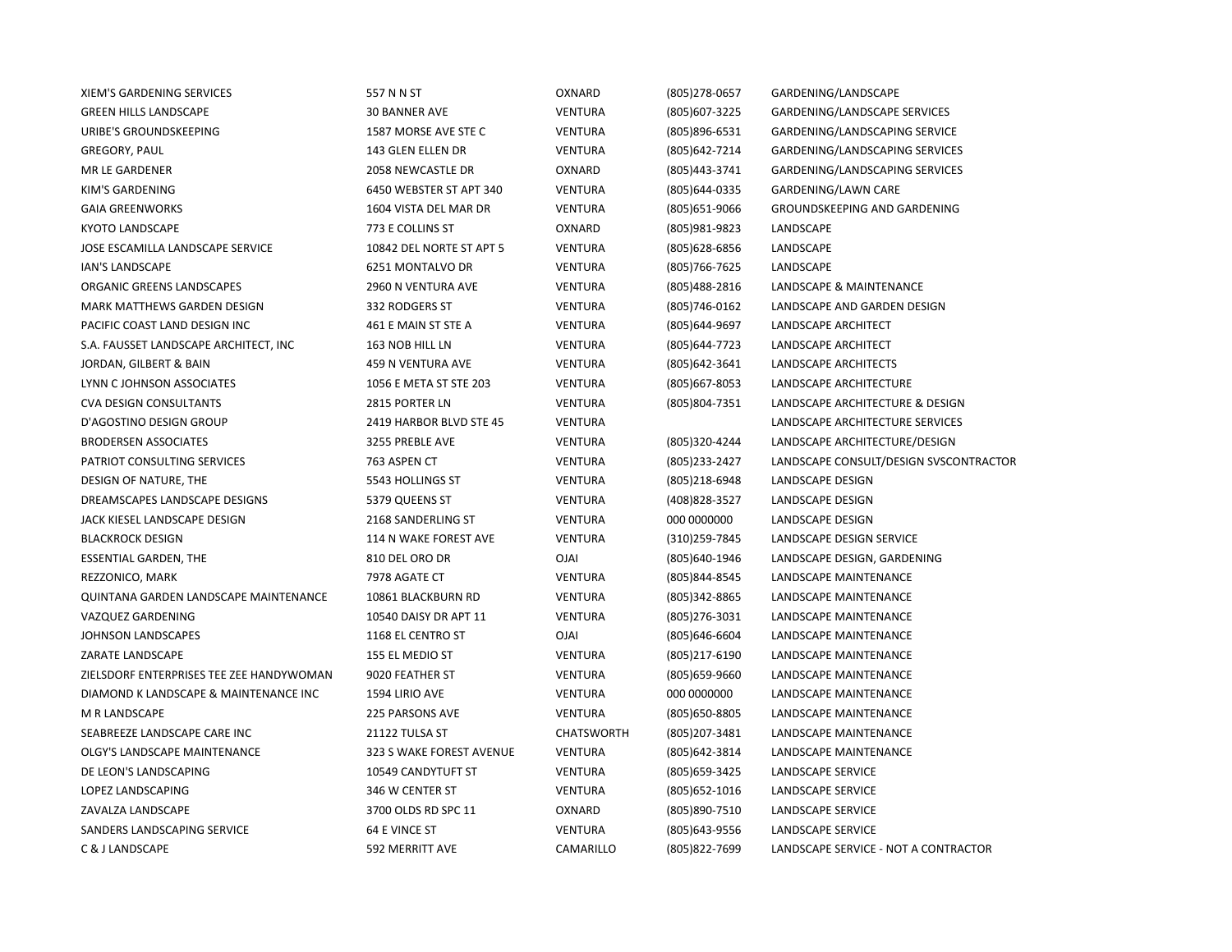| XIEM'S GARDENING SERVICES                | 557 N N ST               | OXNARD            | (805) 278-0657   | GARDENING/LANDSCAPE                    |
|------------------------------------------|--------------------------|-------------------|------------------|----------------------------------------|
| <b>GREEN HILLS LANDSCAPE</b>             | 30 BANNER AVE            | <b>VENTURA</b>    | (805) 607-3225   | GARDENING/LANDSCAPE SERVICES           |
| URIBE'S GROUNDSKEEPING                   | 1587 MORSE AVE STE C     | <b>VENTURA</b>    | (805)896-6531    | GARDENING/LANDSCAPING SERVICE          |
| <b>GREGORY, PAUL</b>                     | 143 GLEN ELLEN DR        | <b>VENTURA</b>    | (805) 642-7214   | GARDENING/LANDSCAPING SERVICES         |
| MR LE GARDENER                           | 2058 NEWCASTLE DR        | OXNARD            | (805)443-3741    | GARDENING/LANDSCAPING SERVICES         |
| KIM'S GARDENING                          | 6450 WEBSTER ST APT 340  | <b>VENTURA</b>    | (805) 644-0335   | GARDENING/LAWN CARE                    |
| <b>GAIA GREENWORKS</b>                   | 1604 VISTA DEL MAR DR    | <b>VENTURA</b>    | (805) 651-9066   | GROUNDSKEEPING AND GARDENING           |
| <b>KYOTO LANDSCAPE</b>                   | 773 E COLLINS ST         | OXNARD            | (805)981-9823    | LANDSCAPE                              |
| JOSE ESCAMILLA LANDSCAPE SERVICE         | 10842 DEL NORTE ST APT 5 | <b>VENTURA</b>    | (805) 628-6856   | LANDSCAPE                              |
| <b>IAN'S LANDSCAPE</b>                   | 6251 MONTALVO DR         | <b>VENTURA</b>    | (805) 766-7625   | LANDSCAPE                              |
| ORGANIC GREENS LANDSCAPES                | 2960 N VENTURA AVE       | <b>VENTURA</b>    | (805)488-2816    | LANDSCAPE & MAINTENANCE                |
| MARK MATTHEWS GARDEN DESIGN              | 332 RODGERS ST           | <b>VENTURA</b>    | (805)746-0162    | LANDSCAPE AND GARDEN DESIGN            |
| PACIFIC COAST LAND DESIGN INC            | 461 E MAIN ST STE A      | <b>VENTURA</b>    | (805) 644-9697   | LANDSCAPE ARCHITECT                    |
| S.A. FAUSSET LANDSCAPE ARCHITECT, INC    | 163 NOB HILL LN          | <b>VENTURA</b>    | (805) 644 - 7723 | LANDSCAPE ARCHITECT                    |
| JORDAN, GILBERT & BAIN                   | 459 N VENTURA AVE        | <b>VENTURA</b>    | (805) 642-3641   | LANDSCAPE ARCHITECTS                   |
| LYNN CJOHNSON ASSOCIATES                 | 1056 E META ST STE 203   | <b>VENTURA</b>    | (805) 667-8053   | LANDSCAPE ARCHITECTURE                 |
| <b>CVA DESIGN CONSULTANTS</b>            | 2815 PORTER LN           | <b>VENTURA</b>    | (805) 804-7351   | LANDSCAPE ARCHITECTURE & DESIGN        |
| D'AGOSTINO DESIGN GROUP                  | 2419 HARBOR BLVD STE 45  | <b>VENTURA</b>    |                  | LANDSCAPE ARCHITECTURE SERVICES        |
| <b>BRODERSEN ASSOCIATES</b>              | 3255 PREBLE AVE          | <b>VENTURA</b>    | (805)320-4244    | LANDSCAPE ARCHITECTURE/DESIGN          |
| PATRIOT CONSULTING SERVICES              | 763 ASPEN CT             | <b>VENTURA</b>    | (805) 233-2427   | LANDSCAPE CONSULT/DESIGN SVSCONTRACTOR |
| DESIGN OF NATURE, THE                    | 5543 HOLLINGS ST         | <b>VENTURA</b>    | (805)218-6948    | LANDSCAPE DESIGN                       |
| DREAMSCAPES LANDSCAPE DESIGNS            | 5379 QUEENS ST           | <b>VENTURA</b>    | (408) 828-3527   | LANDSCAPE DESIGN                       |
| JACK KIESEL LANDSCAPE DESIGN             | 2168 SANDERLING ST       | <b>VENTURA</b>    | 000 0000000      | LANDSCAPE DESIGN                       |
| <b>BLACKROCK DESIGN</b>                  | 114 N WAKE FOREST AVE    | <b>VENTURA</b>    | (310) 259-7845   | LANDSCAPE DESIGN SERVICE               |
| <b>ESSENTIAL GARDEN, THE</b>             | 810 DEL ORO DR           | <b>OJAI</b>       | (805)640-1946    | LANDSCAPE DESIGN, GARDENING            |
| REZZONICO, MARK                          | 7978 AGATE CT            | <b>VENTURA</b>    | (805) 844-8545   | LANDSCAPE MAINTENANCE                  |
| QUINTANA GARDEN LANDSCAPE MAINTENANCE    | 10861 BLACKBURN RD       | <b>VENTURA</b>    | (805)342-8865    | <b>LANDSCAPE MAINTENANCE</b>           |
| VAZQUEZ GARDENING                        | 10540 DAISY DR APT 11    | <b>VENTURA</b>    | (805) 276-3031   | LANDSCAPE MAINTENANCE                  |
| <b>JOHNSON LANDSCAPES</b>                | 1168 EL CENTRO ST        | <b>OJAI</b>       | (805) 646-6604   | LANDSCAPE MAINTENANCE                  |
| ZARATE LANDSCAPE                         | 155 EL MEDIO ST          | <b>VENTURA</b>    | (805)217-6190    | LANDSCAPE MAINTENANCE                  |
| ZIELSDORF ENTERPRISES TEE ZEE HANDYWOMAN | 9020 FEATHER ST          | <b>VENTURA</b>    | (805) 659-9660   | LANDSCAPE MAINTENANCE                  |
| DIAMOND K LANDSCAPE & MAINTENANCE INC    | 1594 LIRIO AVE           | <b>VENTURA</b>    | 000 0000000      | LANDSCAPE MAINTENANCE                  |
| M R LANDSCAPE                            | <b>225 PARSONS AVE</b>   | <b>VENTURA</b>    | (805) 650-8805   | LANDSCAPE MAINTENANCE                  |
| SEABREEZE LANDSCAPE CARE INC             | 21122 TULSA ST           | <b>CHATSWORTH</b> | (805) 207-3481   | LANDSCAPE MAINTENANCE                  |
| OLGY'S LANDSCAPE MAINTENANCE             | 323 S WAKE FOREST AVENUE | <b>VENTURA</b>    | (805) 642-3814   | LANDSCAPE MAINTENANCE                  |
| DE LEON'S LANDSCAPING                    | 10549 CANDYTUFT ST       | <b>VENTURA</b>    | (805) 659-3425   | <b>LANDSCAPE SERVICE</b>               |
| LOPEZ LANDSCAPING                        | 346 W CENTER ST          | <b>VENTURA</b>    | (805) 652-1016   | LANDSCAPE SERVICE                      |
| ZAVALZA LANDSCAPE                        | 3700 OLDS RD SPC 11      | OXNARD            | (805) 890-7510   | LANDSCAPE SERVICE                      |
| SANDERS LANDSCAPING SERVICE              | 64 E VINCE ST            | <b>VENTURA</b>    | (805) 643-9556   | LANDSCAPE SERVICE                      |
| C & J LANDSCAPE                          | <b>592 MERRITT AVE</b>   | CAMARILLO         | (805) 822-7699   | LANDSCAPE SERVICE - NOT A CONTRACTOR   |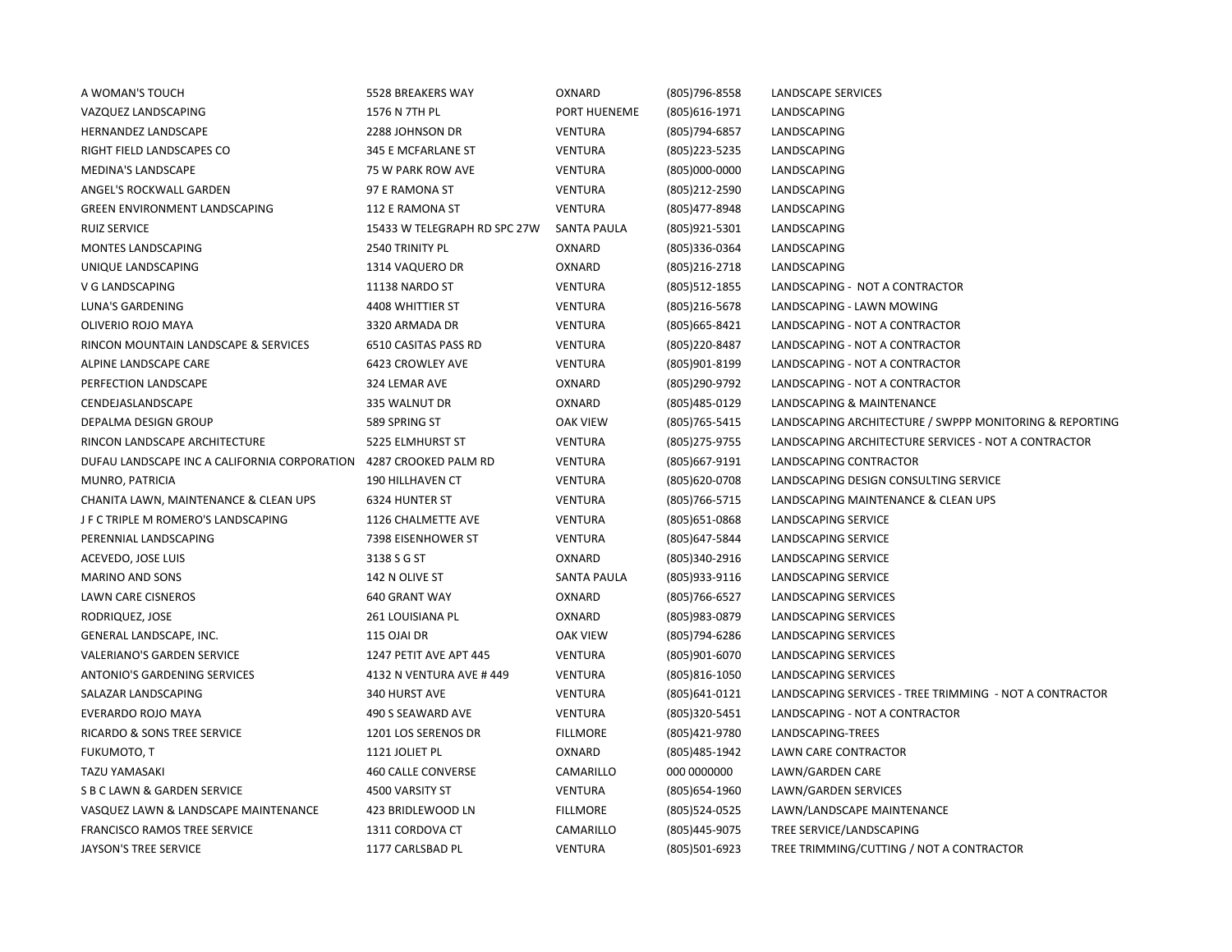| A WOMAN'S TOUCH                              | 5528 BREAKERS WAY            | OXNARD             | (805) 796-8558   | LANDSCAPE SERVICES                                      |
|----------------------------------------------|------------------------------|--------------------|------------------|---------------------------------------------------------|
| VAZQUEZ LANDSCAPING                          | 1576 N 7TH PL                | PORT HUENEME       | (805) 616-1971   | LANDSCAPING                                             |
| HERNANDEZ LANDSCAPE                          | 2288 JOHNSON DR              | <b>VENTURA</b>     | (805) 794-6857   | LANDSCAPING                                             |
| RIGHT FIELD LANDSCAPES CO                    | 345 E MCFARLANE ST           | VENTURA            | (805) 223 - 5235 | LANDSCAPING                                             |
| MEDINA'S LANDSCAPE                           | 75 W PARK ROW AVE            | <b>VENTURA</b>     | (805)000-0000    | LANDSCAPING                                             |
| ANGEL'S ROCKWALL GARDEN                      | 97 E RAMONA ST               | <b>VENTURA</b>     | (805) 212-2590   | LANDSCAPING                                             |
| GREEN ENVIRONMENT LANDSCAPING                | 112 E RAMONA ST              | <b>VENTURA</b>     | (805) 477-8948   | LANDSCAPING                                             |
| <b>RUIZ SERVICE</b>                          | 15433 W TELEGRAPH RD SPC 27W | <b>SANTA PAULA</b> | (805) 921-5301   | LANDSCAPING                                             |
| MONTES LANDSCAPING                           | 2540 TRINITY PL              | OXNARD             | (805)336-0364    | LANDSCAPING                                             |
| UNIQUE LANDSCAPING                           | 1314 VAQUERO DR              | OXNARD             | (805) 216-2718   | LANDSCAPING                                             |
| V G LANDSCAPING                              | 11138 NARDO ST               | <b>VENTURA</b>     | (805) 512-1855   | LANDSCAPING - NOT A CONTRACTOR                          |
| LUNA'S GARDENING                             | 4408 WHITTIER ST             | <b>VENTURA</b>     | (805)216-5678    | LANDSCAPING - LAWN MOWING                               |
| OLIVERIO ROJO MAYA                           | 3320 ARMADA DR               | <b>VENTURA</b>     | (805) 665-8421   | LANDSCAPING - NOT A CONTRACTOR                          |
| RINCON MOUNTAIN LANDSCAPE & SERVICES         | 6510 CASITAS PASS RD         | <b>VENTURA</b>     | (805) 220-8487   | LANDSCAPING - NOT A CONTRACTOR                          |
| ALPINE LANDSCAPE CARE                        | 6423 CROWLEY AVE             | <b>VENTURA</b>     | (805)901-8199    | LANDSCAPING - NOT A CONTRACTOR                          |
| PERFECTION LANDSCAPE                         | 324 LEMAR AVE                | OXNARD             | (805)290-9792    | LANDSCAPING - NOT A CONTRACTOR                          |
| CENDEJASLANDSCAPE                            | 335 WALNUT DR                | OXNARD             | (805) 485-0129   | LANDSCAPING & MAINTENANCE                               |
| DEPALMA DESIGN GROUP                         | 589 SPRING ST                | <b>OAK VIEW</b>    | (805) 765-5415   | LANDSCAPING ARCHITECTURE / SWPPP MONITORING & REPORTING |
| RINCON LANDSCAPE ARCHITECTURE                | 5225 ELMHURST ST             | <b>VENTURA</b>     | (805) 275-9755   | LANDSCAPING ARCHITECTURE SERVICES - NOT A CONTRACTOR    |
| DUFAU LANDSCAPE INC A CALIFORNIA CORPORATION | 4287 CROOKED PALM RD         | <b>VENTURA</b>     | (805) 667-9191   | LANDSCAPING CONTRACTOR                                  |
| MUNRO, PATRICIA                              | <b>190 HILLHAVEN CT</b>      | VENTURA            | (805)620-0708    | LANDSCAPING DESIGN CONSULTING SERVICE                   |
| CHANITA LAWN, MAINTENANCE & CLEAN UPS        | 6324 HUNTER ST               | <b>VENTURA</b>     | (805) 766-5715   | LANDSCAPING MAINTENANCE & CLEAN UPS                     |
| J F C TRIPLE M ROMERO'S LANDSCAPING          | 1126 CHALMETTE AVE           | <b>VENTURA</b>     | (805) 651-0868   | LANDSCAPING SERVICE                                     |
| PERENNIAL LANDSCAPING                        | 7398 EISENHOWER ST           | <b>VENTURA</b>     | (805) 647-5844   | LANDSCAPING SERVICE                                     |
| ACEVEDO, JOSE LUIS                           | 3138 S G ST                  | OXNARD             | (805)340-2916    | LANDSCAPING SERVICE                                     |
| <b>MARINO AND SONS</b>                       | 142 N OLIVE ST               | SANTA PAULA        | (805) 933-9116   | LANDSCAPING SERVICE                                     |
| LAWN CARE CISNEROS                           | <b>640 GRANT WAY</b>         | OXNARD             | (805) 766-6527   | LANDSCAPING SERVICES                                    |
| RODRIQUEZ, JOSE                              | 261 LOUISIANA PL             | OXNARD             | (805) 983-0879   | LANDSCAPING SERVICES                                    |
| GENERAL LANDSCAPE, INC.                      | 115 OJAI DR                  | <b>OAK VIEW</b>    | (805)794-6286    | LANDSCAPING SERVICES                                    |
| VALERIANO'S GARDEN SERVICE                   | 1247 PETIT AVE APT 445       | <b>VENTURA</b>     | (805)901-6070    | LANDSCAPING SERVICES                                    |
| ANTONIO'S GARDENING SERVICES                 | 4132 N VENTURA AVE #449      | <b>VENTURA</b>     | (805) 816-1050   | LANDSCAPING SERVICES                                    |
| SALAZAR LANDSCAPING                          | 340 HURST AVE                | VENTURA            | (805) 641-0121   | LANDSCAPING SERVICES - TREE TRIMMING - NOT A CONTRACTOR |
| EVERARDO ROJO MAYA                           | 490 S SEAWARD AVE            | <b>VENTURA</b>     | (805)320-5451    | LANDSCAPING - NOT A CONTRACTOR                          |
| RICARDO & SONS TREE SERVICE                  | 1201 LOS SERENOS DR          | <b>FILLMORE</b>    | (805)421-9780    | LANDSCAPING-TREES                                       |
| FUKUMOTO, T                                  | 1121 JOLIET PL               | OXNARD             | (805) 485-1942   | LAWN CARE CONTRACTOR                                    |
| TAZU YAMASAKI                                | <b>460 CALLE CONVERSE</b>    | CAMARILLO          | 000 0000000      | LAWN/GARDEN CARE                                        |
| S B C LAWN & GARDEN SERVICE                  | 4500 VARSITY ST              | <b>VENTURA</b>     | (805) 654-1960   | LAWN/GARDEN SERVICES                                    |
| VASQUEZ LAWN & LANDSCAPE MAINTENANCE         | 423 BRIDLEWOOD LN            | <b>FILLMORE</b>    | (805)524-0525    | LAWN/LANDSCAPE MAINTENANCE                              |
| <b>FRANCISCO RAMOS TREE SERVICE</b>          | 1311 CORDOVA CT              | CAMARILLO          | (805)445-9075    | TREE SERVICE/LANDSCAPING                                |
| <b>JAYSON'S TREE SERVICE</b>                 | 1177 CARLSBAD PL             | <b>VENTURA</b>     | (805)501-6923    | TREE TRIMMING/CUTTING / NOT A CONTRACTOR                |